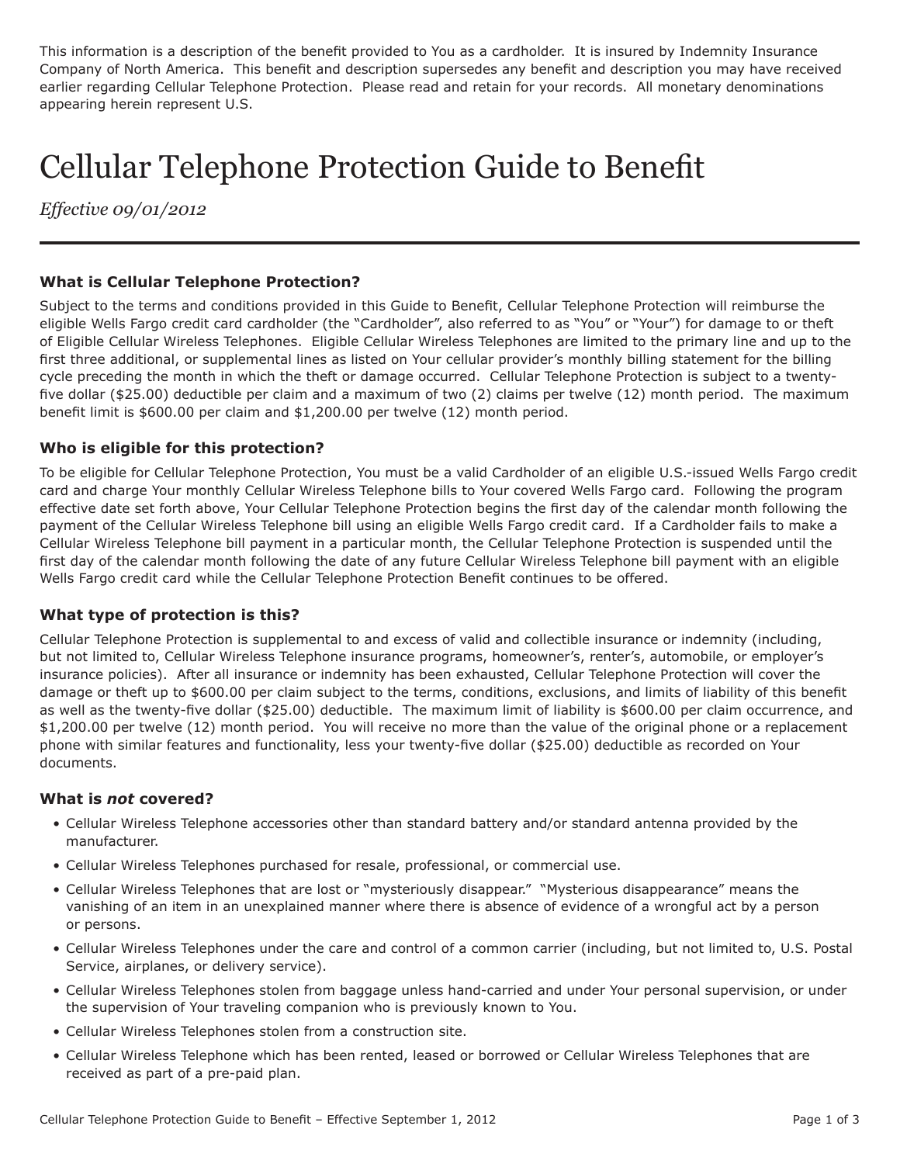This information is a description of the benefit provided to You as a cardholder. It is insured by Indemnity Insurance Company of North America. This benefit and description supersedes any benefit and description you may have received earlier regarding Cellular Telephone Protection. Please read and retain for your records. All monetary denominations appearing herein represent U.S.

# Cellular Telephone Protection Guide to Benefit

*Effective 09/01/2012*

# **What is Cellular Telephone Protection?**

Subject to the terms and conditions provided in this Guide to Benefit, Cellular Telephone Protection will reimburse the eligible Wells Fargo credit card cardholder (the "Cardholder", also referred to as "You" or "Your") for damage to or theft of Eligible Cellular Wireless Telephones. Eligible Cellular Wireless Telephones are limited to the primary line and up to the first three additional, or supplemental lines as listed on Your cellular provider's monthly billing statement for the billing cycle preceding the month in which the theft or damage occurred. Cellular Telephone Protection is subject to a twentyfive dollar (\$25.00) deductible per claim and a maximum of two (2) claims per twelve (12) month period. The maximum benefit limit is \$600.00 per claim and \$1,200.00 per twelve (12) month period.

## **Who is eligible for this protection?**

To be eligible for Cellular Telephone Protection, You must be a valid Cardholder of an eligible U.S.-issued Wells Fargo credit card and charge Your monthly Cellular Wireless Telephone bills to Your covered Wells Fargo card. Following the program effective date set forth above, Your Cellular Telephone Protection begins the first day of the calendar month following the payment of the Cellular Wireless Telephone bill using an eligible Wells Fargo credit card. If a Cardholder fails to make a Cellular Wireless Telephone bill payment in a particular month, the Cellular Telephone Protection is suspended until the first day of the calendar month following the date of any future Cellular Wireless Telephone bill payment with an eligible Wells Fargo credit card while the Cellular Telephone Protection Benefit continues to be offered.

## **What type of protection is this?**

Cellular Telephone Protection is supplemental to and excess of valid and collectible insurance or indemnity (including, but not limited to, Cellular Wireless Telephone insurance programs, homeowner's, renter's, automobile, or employer's insurance policies). After all insurance or indemnity has been exhausted, Cellular Telephone Protection will cover the damage or theft up to \$600.00 per claim subject to the terms, conditions, exclusions, and limits of liability of this benefit as well as the twenty-five dollar (\$25.00) deductible. The maximum limit of liability is \$600.00 per claim occurrence, and \$1,200.00 per twelve (12) month period. You will receive no more than the value of the original phone or a replacement phone with similar features and functionality, less your twenty-five dollar (\$25.00) deductible as recorded on Your documents.

## **What is** *not* **covered?**

- Cellular Wireless Telephone accessories other than standard battery and/or standard antenna provided by the manufacturer.
- Cellular Wireless Telephones purchased for resale, professional, or commercial use.
- Cellular Wireless Telephones that are lost or "mysteriously disappear." "Mysterious disappearance" means the vanishing of an item in an unexplained manner where there is absence of evidence of a wrongful act by a person or persons.
- Cellular Wireless Telephones under the care and control of a common carrier (including, but not limited to, U.S. Postal Service, airplanes, or delivery service).
- Cellular Wireless Telephones stolen from baggage unless hand-carried and under Your personal supervision, or under the supervision of Your traveling companion who is previously known to You.
- Cellular Wireless Telephones stolen from a construction site.
- Cellular Wireless Telephone which has been rented, leased or borrowed or Cellular Wireless Telephones that are received as part of a pre-paid plan.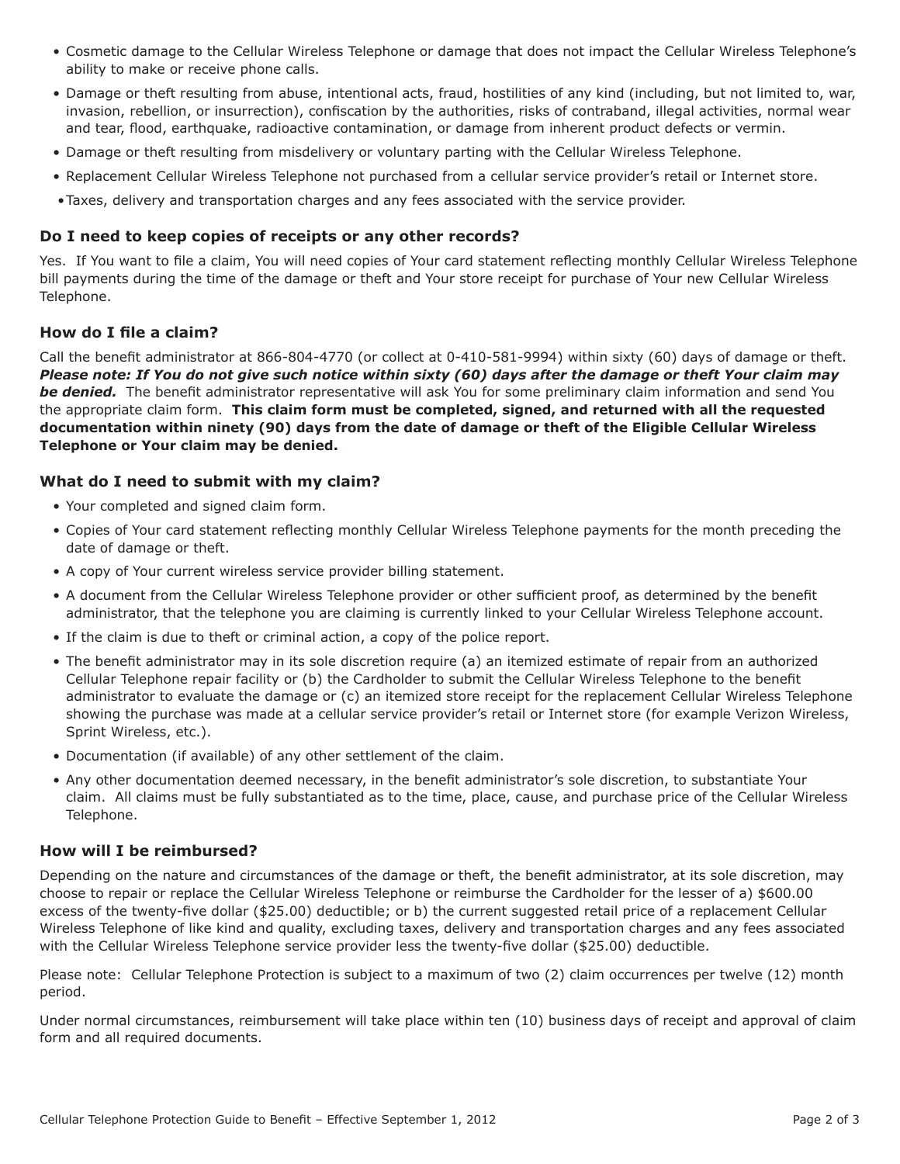- Cosmetic damage to the Cellular Wireless Telephone or damage that does not impact the Cellular Wireless Telephone's ability to make or receive phone calls.
- Damage or theft resulting from abuse, intentional acts, fraud, hostilities of any kind (including, but not limited to, war, invasion, rebellion, or insurrection), confiscation by the authorities, risks of contraband, illegal activities, normal wear and tear, flood, earthquake, radioactive contamination, or damage from inherent product defects or vermin.
- Damage or theft resulting from misdelivery or voluntary parting with the Cellular Wireless Telephone.
- Replacement Cellular Wireless Telephone not purchased from a cellular service provider's retail or Internet store.
- •Taxes, delivery and transportation charges and any fees associated with the service provider.

#### **Do I need to keep copies of receipts or any other records?**

Yes. If You want to file a claim, You will need copies of Your card statement reflecting monthly Cellular Wireless Telephone bill payments during the time of the damage or theft and Your store receipt for purchase of Your new Cellular Wireless Telephone.

#### **How do I file a claim?**

Call the benefit administrator at 866-804-4770 (or collect at 0-410-581-9994) within sixty (60) days of damage or theft. *Please note: If You do not give such notice within sixty (60) days after the damage or theft Your claim may be denied.* The benefit administrator representative will ask You for some preliminary claim information and send You the appropriate claim form. **This claim form must be completed, signed, and returned with all the requested documentation within ninety (90) days from the date of damage or theft of the Eligible Cellular Wireless Telephone or Your claim may be denied.** 

#### **What do I need to submit with my claim?**

- Your completed and signed claim form.
- Copies of Your card statement reflecting monthly Cellular Wireless Telephone payments for the month preceding the date of damage or theft.
- A copy of Your current wireless service provider billing statement.
- A document from the Cellular Wireless Telephone provider or other sufficient proof, as determined by the benefit administrator, that the telephone you are claiming is currently linked to your Cellular Wireless Telephone account.
- If the claim is due to theft or criminal action, a copy of the police report.
- The benefit administrator may in its sole discretion require (a) an itemized estimate of repair from an authorized Cellular Telephone repair facility or (b) the Cardholder to submit the Cellular Wireless Telephone to the benefit administrator to evaluate the damage or (c) an itemized store receipt for the replacement Cellular Wireless Telephone showing the purchase was made at a cellular service provider's retail or Internet store (for example Verizon Wireless, Sprint Wireless, etc.).
- Documentation (if available) of any other settlement of the claim.
- Any other documentation deemed necessary, in the benefit administrator's sole discretion, to substantiate Your claim. All claims must be fully substantiated as to the time, place, cause, and purchase price of the Cellular Wireless Telephone.

#### **How will I be reimbursed?**

Depending on the nature and circumstances of the damage or theft, the benefit administrator, at its sole discretion, may choose to repair or replace the Cellular Wireless Telephone or reimburse the Cardholder for the lesser of a) \$600.00 excess of the twenty-five dollar (\$25.00) deductible; or b) the current suggested retail price of a replacement Cellular Wireless Telephone of like kind and quality, excluding taxes, delivery and transportation charges and any fees associated with the Cellular Wireless Telephone service provider less the twenty-five dollar (\$25.00) deductible.

Please note: Cellular Telephone Protection is subject to a maximum of two (2) claim occurrences per twelve (12) month period.

Under normal circumstances, reimbursement will take place within ten (10) business days of receipt and approval of claim form and all required documents.